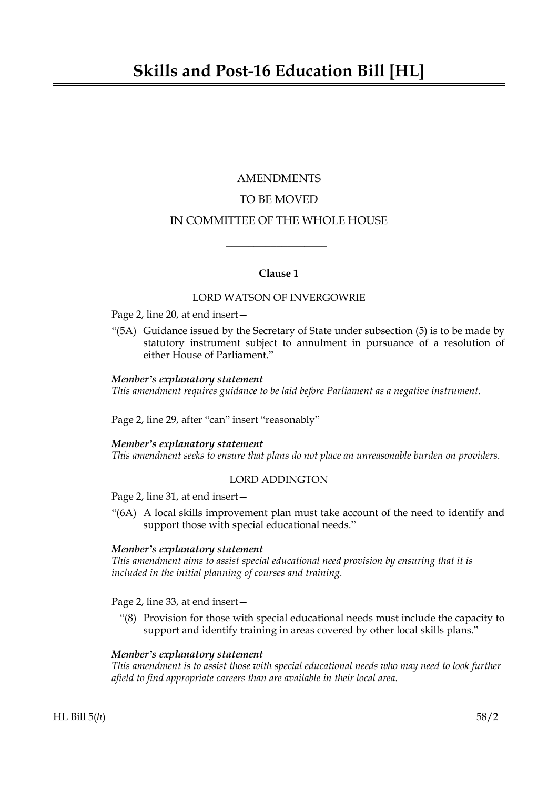# AMENDMENTS TO BE MOVED IN COMMITTEE OF THE WHOLE HOUSE

# **Clause 1**

 $\overline{\phantom{a}}$  , where  $\overline{\phantom{a}}$ 

## LORD WATSON OF INVERGOWRIE

## Page 2, line 20, at end insert—

"(5A) Guidance issued by the Secretary of State under subsection (5) is to be made by statutory instrument subject to annulment in pursuance of a resolution of either House of Parliament."

## *Member's explanatory statement*

*This amendment requires guidance to be laid before Parliament as a negative instrument.*

Page 2, line 29, after "can" insert "reasonably"

## *Member's explanatory statement*

*This amendment seeks to ensure that plans do not place an unreasonable burden on providers.*

# LORD ADDINGTON

Page 2, line 31, at end insert—

"(6A) A local skills improvement plan must take account of the need to identify and support those with special educational needs."

## *Member's explanatory statement*

*This amendment aims to assist special educational need provision by ensuring that it is included in the initial planning of courses and training.*

Page 2, line 33, at end insert—

"(8) Provision for those with special educational needs must include the capacity to support and identify training in areas covered by other local skills plans."

## *Member's explanatory statement*

*This amendment is to assist those with special educational needs who may need to look further afield to find appropriate careers than are available in their local area.*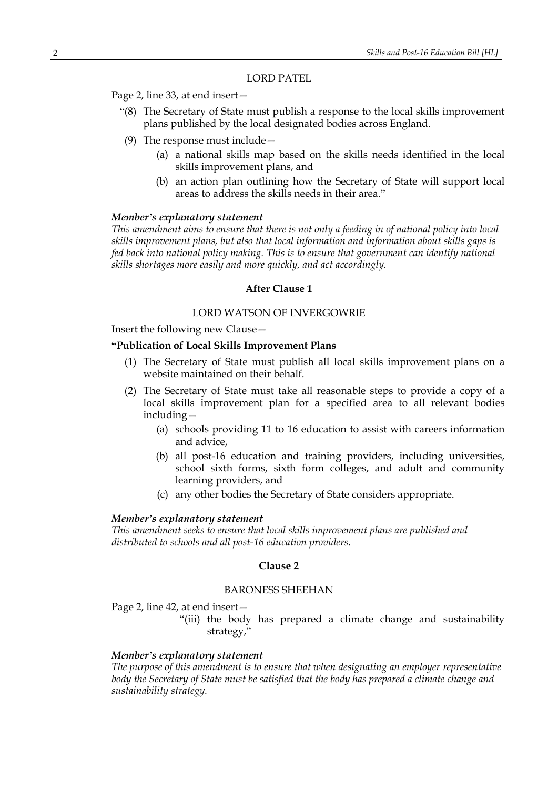LORD PATEL

Page 2, line 33, at end insert—

- "(8) The Secretary of State must publish a response to the local skills improvement plans published by the local designated bodies across England.
- (9) The response must include—
	- (a) a national skills map based on the skills needs identified in the local skills improvement plans, and
	- (b) an action plan outlining how the Secretary of State will support local areas to address the skills needs in their area."

#### *Member's explanatory statement*

*This amendment aims to ensure that there is not only a feeding in of national policy into local skills improvement plans, but also that local information and information about skills gaps is fed back into national policy making. This is to ensure that government can identify national skills shortages more easily and more quickly, and act accordingly.*

## **After Clause 1**

## LORD WATSON OF INVERGOWRIE

Insert the following new Clause—

## **"Publication of Local Skills Improvement Plans**

- (1) The Secretary of State must publish all local skills improvement plans on a website maintained on their behalf.
- (2) The Secretary of State must take all reasonable steps to provide a copy of a local skills improvement plan for a specified area to all relevant bodies including—
	- (a) schools providing 11 to 16 education to assist with careers information and advice,
	- (b) all post-16 education and training providers, including universities, school sixth forms, sixth form colleges, and adult and community learning providers, and
	- (c) any other bodies the Secretary of State considers appropriate.

#### *Member's explanatory statement*

*This amendment seeks to ensure that local skills improvement plans are published and distributed to schools and all post-16 education providers.*

#### **Clause 2**

## BARONESS SHEEHAN

Page 2, line 42, at end insert—

"(iii) the body has prepared a climate change and sustainability strategy,"

## *Member's explanatory statement*

*The purpose of this amendment is to ensure that when designating an employer representative body the Secretary of State must be satisfied that the body has prepared a climate change and sustainability strategy.*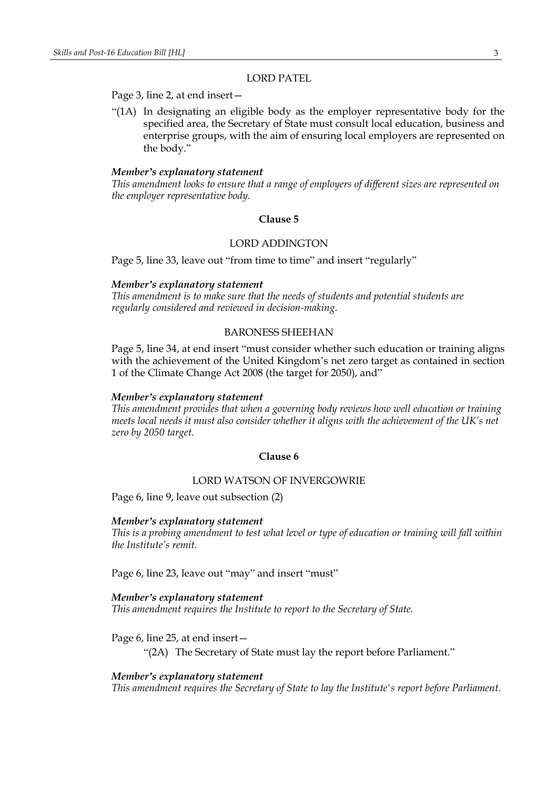## LORD PATEL

## Page 3, line 2, at end insert—

"(1A) In designating an eligible body as the employer representative body for the specified area, the Secretary of State must consult local education, business and enterprise groups, with the aim of ensuring local employers are represented on the body."

#### *Member's explanatory statement*

*This amendment looks to ensure that a range of employers of different sizes are represented on the employer representative body.*

## **Clause 5**

## LORD ADDINGTON

Page 5, line 33, leave out "from time to time" and insert "regularly"

#### *Member's explanatory statement*

*This amendment is to make sure that the needs of students and potential students are regularly considered and reviewed in decision-making.*

## BARONESS SHEEHAN

Page 5, line 34, at end insert "must consider whether such education or training aligns with the achievement of the United Kingdom's net zero target as contained in section 1 of the Climate Change Act 2008 (the target for 2050), and"

#### *Member's explanatory statement*

*This amendment provides that when a governing body reviews how well education or training meets local needs it must also consider whether it aligns with the achievement of the UK's net zero by 2050 target.*

## **Clause 6**

#### LORD WATSON OF INVERGOWRIE

Page 6, line 9, leave out subsection (2)

#### *Member's explanatory statement*

*This is a probing amendment to test what level or type of education or training will fall within the Institute's remit.*

Page 6, line 23, leave out "may" and insert "must"

#### *Member's explanatory statement*

*This amendment requires the Institute to report to the Secretary of State.*

Page 6, line 25, at end insert—

"(2A) The Secretary of State must lay the report before Parliament."

#### *Member's explanatory statement*

*This amendment requires the Secretary of State to lay the Institute's report before Parliament.*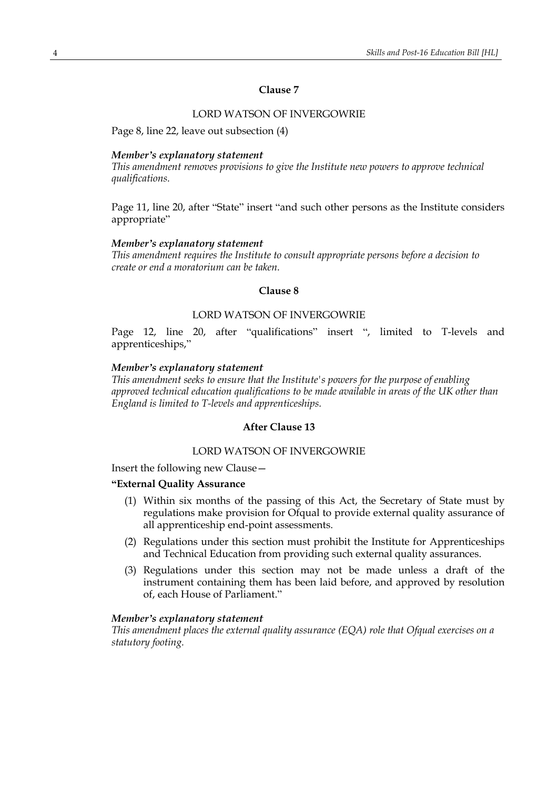# **Clause 7**

# LORD WATSON OF INVERGOWRIE

Page 8, line 22, leave out subsection (4)

#### *Member's explanatory statement*

*This amendment removes provisions to give the Institute new powers to approve technical qualifications.*

Page 11, line 20, after "State" insert "and such other persons as the Institute considers appropriate"

## *Member's explanatory statement*

*This amendment requires the Institute to consult appropriate persons before a decision to create or end a moratorium can be taken.*

## **Clause 8**

# LORD WATSON OF INVERGOWRIE

Page 12, line 20, after "qualifications" insert ", limited to T-levels and apprenticeships,"

## *Member's explanatory statement*

*This amendment seeks to ensure that the Institute's powers for the purpose of enabling approved technical education qualifications to be made available in areas of the UK other than England is limited to T-levels and apprenticeships.*

# **After Clause 13**

# LORD WATSON OF INVERGOWRIE

Insert the following new Clause—

## **"External Quality Assurance**

- (1) Within six months of the passing of this Act, the Secretary of State must by regulations make provision for Ofqual to provide external quality assurance of all apprenticeship end-point assessments.
- (2) Regulations under this section must prohibit the Institute for Apprenticeships and Technical Education from providing such external quality assurances.
- (3) Regulations under this section may not be made unless a draft of the instrument containing them has been laid before, and approved by resolution of, each House of Parliament."

# *Member's explanatory statement*

*This amendment places the external quality assurance (EQA) role that Ofqual exercises on a statutory footing.*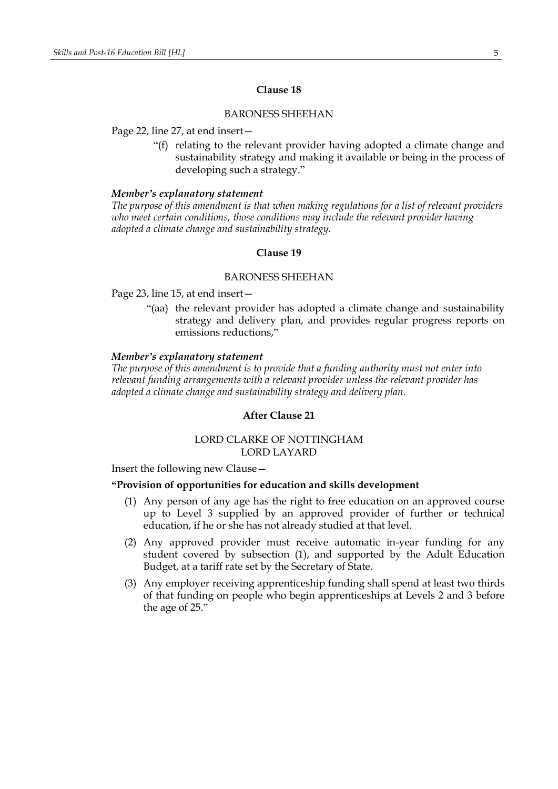## **Clause 18**

## BARONESS SHEEHAN

#### Page 22, line 27, at end insert—

"(f) relating to the relevant provider having adopted a climate change and sustainability strategy and making it available or being in the process of developing such a strategy."

#### *Member's explanatory statement*

*The purpose of this amendment is that when making regulations for a list of relevant providers who meet certain conditions, those conditions may include the relevant provider having adopted a climate change and sustainability strategy.*

## **Clause 19**

## BARONESS SHEEHAN

Page 23, line 15, at end insert—

"(aa) the relevant provider has adopted a climate change and sustainability strategy and delivery plan, and provides regular progress reports on emissions reductions,"

## *Member's explanatory statement*

*The purpose of this amendment is to provide that a funding authority must not enter into relevant funding arrangements with a relevant provider unless the relevant provider has adopted a climate change and sustainability strategy and delivery plan.*

# **After Clause 21**

# LORD CLARKE OF NOTTINGHAM LORD LAYARD

Insert the following new Clause—

#### **"Provision of opportunities for education and skills development**

- (1) Any person of any age has the right to free education on an approved course up to Level 3 supplied by an approved provider of further or technical education, if he or she has not already studied at that level.
- (2) Any approved provider must receive automatic in-year funding for any student covered by subsection (1), and supported by the Adult Education Budget, at a tariff rate set by the Secretary of State.
- (3) Any employer receiving apprenticeship funding shall spend at least two thirds of that funding on people who begin apprenticeships at Levels 2 and 3 before the age of 25."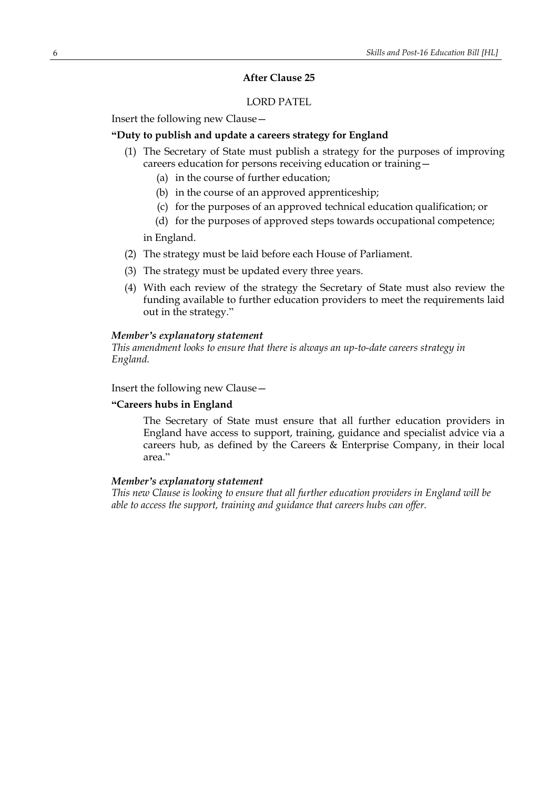# **After Clause 25**

# LORD PATEL

Insert the following new Clause—

# **"Duty to publish and update a careers strategy for England**

- (1) The Secretary of State must publish a strategy for the purposes of improving careers education for persons receiving education or training—
	- (a) in the course of further education;
	- (b) in the course of an approved apprenticeship;
	- (c) for the purposes of an approved technical education qualification; or
	- (d) for the purposes of approved steps towards occupational competence;

in England.

- (2) The strategy must be laid before each House of Parliament.
- (3) The strategy must be updated every three years.
- (4) With each review of the strategy the Secretary of State must also review the funding available to further education providers to meet the requirements laid out in the strategy."

#### *Member's explanatory statement*

*This amendment looks to ensure that there is always an up-to-date careers strategy in England.*

Insert the following new Clause—

# **"Careers hubs in England**

The Secretary of State must ensure that all further education providers in England have access to support, training, guidance and specialist advice via a careers hub, as defined by the Careers & Enterprise Company, in their local area."

## *Member's explanatory statement*

*This new Clause is looking to ensure that all further education providers in England will be able to access the support, training and guidance that careers hubs can offer.*